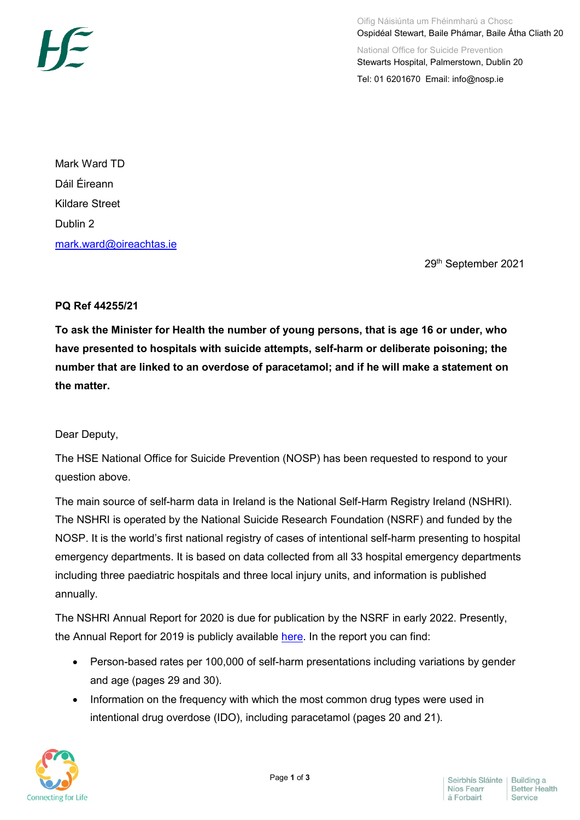

Mark Ward TD Dáil Éireann Kildare Street Dublin 2 [mark.ward@oireachtas.ie](mailto:mark.ward@oireachtas.ie)

29th September 2021

## **PQ Ref 44255/21**

**To ask the Minister for Health the number of young persons, that is age 16 or under, who have presented to hospitals with suicide attempts, self-harm or deliberate poisoning; the number that are linked to an overdose of paracetamol; and if he will make a statement on the matter.**

## Dear Deputy,

The HSE National Office for Suicide Prevention (NOSP) has been requested to respond to your question above.

The main source of self-harm data in Ireland is the National Self-Harm Registry Ireland (NSHRI). The NSHRI is operated by the National Suicide Research Foundation (NSRF) and funded by the NOSP. It is the world's first national registry of cases of intentional self-harm presenting to hospital emergency departments. It is based on data collected from all 33 hospital emergency departments including three paediatric hospitals and three local injury units, and information is published annually.

The NSHRI Annual Report for 2020 is due for publication by the NSRF in early 2022. Presently, the Annual Report for 2019 is publicly available [here.](https://www.nsrf.ie/wp-content/uploads/2020/12/NSRF-National-Self-Harm-Registry-Ireland-annual-report-2019-Final-for-website.pdf) In the report you can find:

- Person-based rates per 100,000 of self-harm presentations including variations by gender and age (pages 29 and 30).
- Information on the frequency with which the most common drug types were used in intentional drug overdose (IDO), including paracetamol (pages 20 and 21).

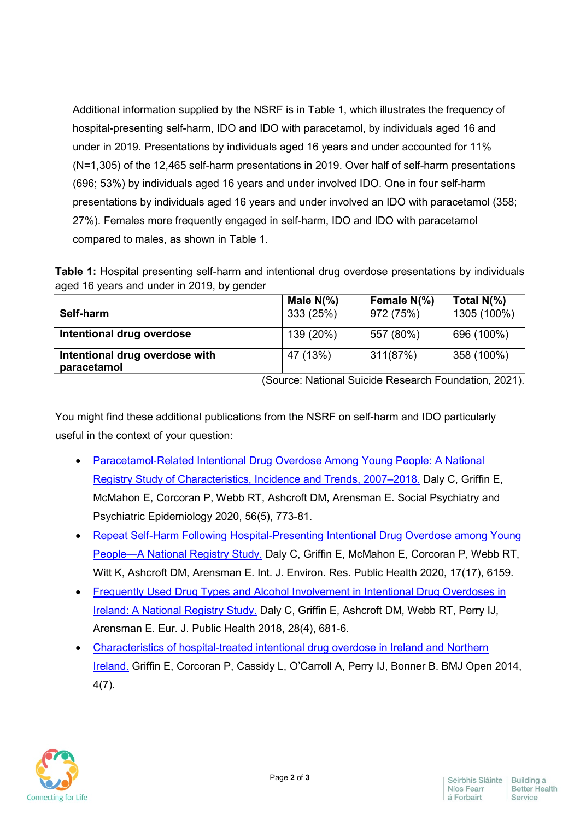Additional information supplied by the NSRF is in Table 1, which illustrates the frequency of hospital-presenting self-harm, IDO and IDO with paracetamol, by individuals aged 16 and under in 2019. Presentations by individuals aged 16 years and under accounted for 11% (N=1,305) of the 12,465 self-harm presentations in 2019. Over half of self-harm presentations (696; 53%) by individuals aged 16 years and under involved IDO. One in four self-harm presentations by individuals aged 16 years and under involved an IDO with paracetamol (358; 27%). Females more frequently engaged in self-harm, IDO and IDO with paracetamol compared to males, as shown in Table 1.

**Table 1:** Hospital presenting self-harm and intentional drug overdose presentations by individuals aged 16 years and under in 2019, by gender

|                                | Male $N\frac{9}{6}$ | Female N(%) | Total $N\frac{9}{6}$ |
|--------------------------------|---------------------|-------------|----------------------|
| Self-harm                      | 333 (25%)           | 972 (75%)   | 1305 (100%)          |
|                                |                     |             |                      |
| Intentional drug overdose      | 139 (20%)           | 557 (80%)   | 696 (100%)           |
| Intentional drug overdose with | 47 (13%)            | 311(87%)    | 358 (100%)           |
| paracetamol                    |                     |             |                      |

(Source: National Suicide Research Foundation, 2021).

You might find these additional publications from the NSRF on self-harm and IDO particularly useful in the context of your question:

- Paracetamol-Related Intentional Drug Overdose Among Young People: A National [Registry Study of Characteristics, Incidence and Trends, 2007–2018.](https://link.springer.com/epdf/10.1007/s00127-020-01981-y?sharing_token=UFVvzPspJDXDQiBA96Q_lve4RwlQNchNByi7wbcMAY5pv_a3cyxXgYy-PG8ZSm9f0K_-oTi7IOU3irBjgSOL7LDN6rErR_12TdCADfdViHFWeP4FA32zBcI1aZOqNlRFiST-CBFLs8arBo0j4nen5Si2RDK3i22BkTUD6Lzb4x4%3D) Daly C, Griffin E, McMahon E, Corcoran P, Webb RT, Ashcroft DM, Arensman E. Social Psychiatry and Psychiatric Epidemiology 2020, 56(5), 773-81.
- [Repeat Self-Harm Following Hospital-Presenting Intentional Drug Overdose among Young](https://www.mdpi.com/1660-4601/17/17/6159/htm)  [People—A National Registry Study.](https://www.mdpi.com/1660-4601/17/17/6159/htm) Daly C, Griffin E, McMahon E, Corcoran P, Webb RT, Witt K, Ashcroft DM, Arensman E. Int. J. Environ. Res. Public Health 2020, 17(17), 6159.
- Frequently Used Drug Types and Alcohol Involvement in Intentional Drug Overdoses in [Ireland: A National Registry Study.](https://academic.oup.com/eurpub/article/28/4/681/4930644) Daly C, Griffin E, Ashcroft DM, Webb RT, Perry IJ, Arensman E. Eur. J. Public Health 2018, 28(4), 681-6.
- [Characteristics of hospital-treated intentional drug overdose in Ireland and Northern](https://bmjopen.bmj.com/content/4/7/e005557)  [Ireland.](https://bmjopen.bmj.com/content/4/7/e005557) Griffin E, Corcoran P, Cassidy L, O'Carroll A, Perry IJ, Bonner B. BMJ Open 2014, 4(7).